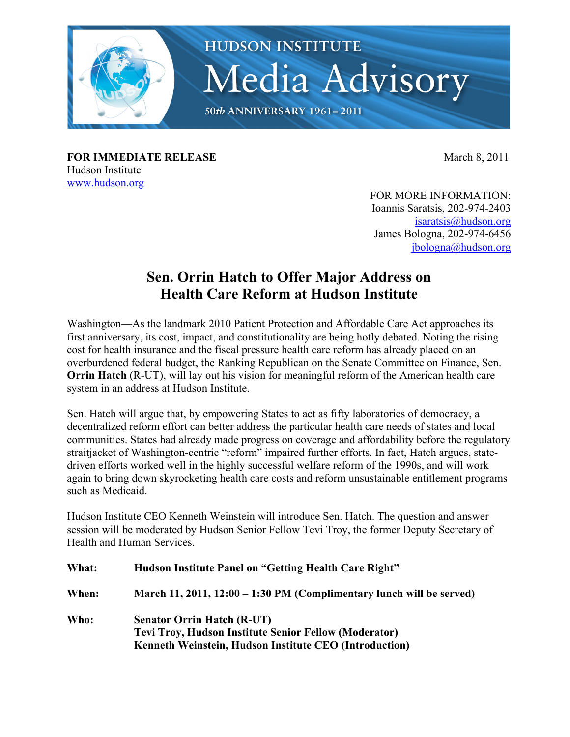

**FOR IMMEDIATE RELEASE** March 8, 2011 Hudson Institute www.hudson.org

FOR MORE INFORMATION: Ioannis Saratsis, 202-974-2403 isaratsis@hudson.org James Bologna, 202-974-6456 jbologna@hudson.org

## **Sen. Orrin Hatch to Offer Major Address on Health Care Reform at Hudson Institute**

Washington—As the landmark 2010 Patient Protection and Affordable Care Act approaches its first anniversary, its cost, impact, and constitutionality are being hotly debated. Noting the rising cost for health insurance and the fiscal pressure health care reform has already placed on an overburdened federal budget, the Ranking Republican on the Senate Committee on Finance, Sen. **Orrin Hatch** (R-UT), will lay out his vision for meaningful reform of the American health care system in an address at Hudson Institute.

Sen. Hatch will argue that, by empowering States to act as fifty laboratories of democracy, a decentralized reform effort can better address the particular health care needs of states and local communities. States had already made progress on coverage and affordability before the regulatory straitjacket of Washington-centric "reform" impaired further efforts. In fact, Hatch argues, statedriven efforts worked well in the highly successful welfare reform of the 1990s, and will work again to bring down skyrocketing health care costs and reform unsustainable entitlement programs such as Medicaid.

Hudson Institute CEO Kenneth Weinstein will introduce Sen. Hatch. The question and answer session will be moderated by Hudson Senior Fellow Tevi Troy, the former Deputy Secretary of Health and Human Services.

| What: | Hudson Institute Panel on "Getting Health Care Right"                                                                                                              |
|-------|--------------------------------------------------------------------------------------------------------------------------------------------------------------------|
| When: | March 11, 2011, $12:00 - 1:30$ PM (Complimentary lunch will be served)                                                                                             |
| Who:  | <b>Senator Orrin Hatch (R-UT)</b><br><b>Tevi Troy, Hudson Institute Senior Fellow (Moderator)</b><br><b>Kenneth Weinstein, Hudson Institute CEO (Introduction)</b> |